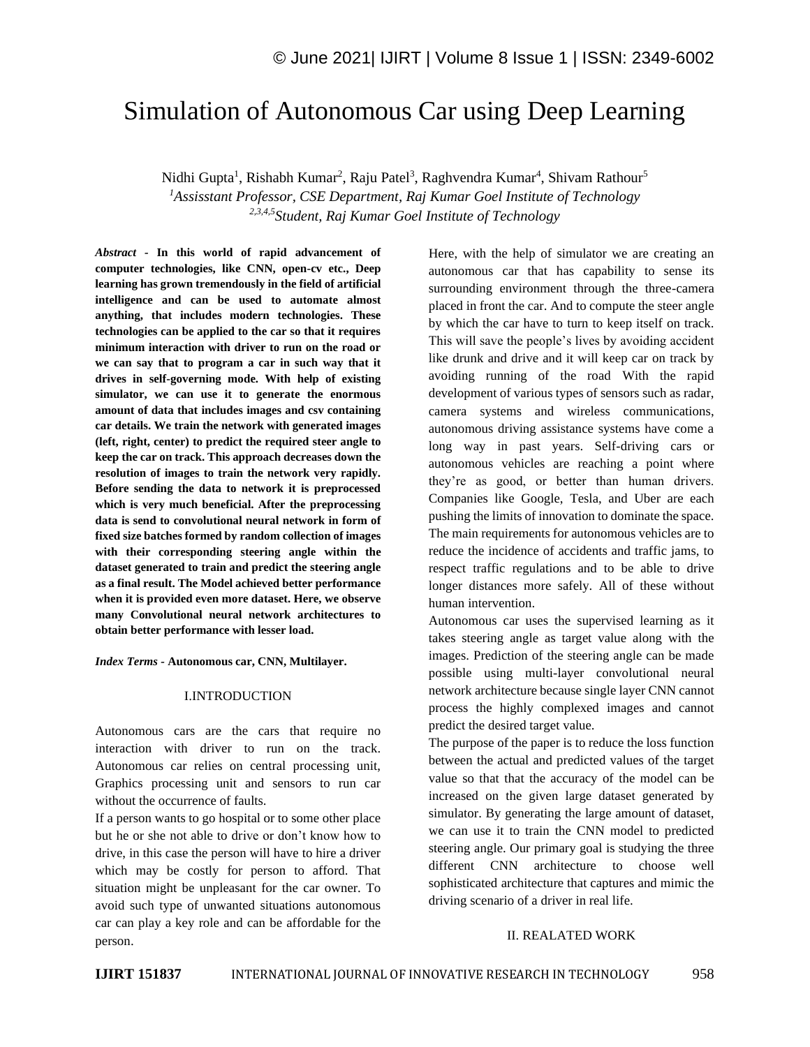# Simulation of Autonomous Car using Deep Learning

Nidhi Gupta<sup>1</sup>, Rishabh Kumar<sup>2</sup>, Raju Patel<sup>3</sup>, Raghvendra Kumar<sup>4</sup>, Shivam Rathour<sup>5</sup>

*<sup>1</sup>Assisstant Professor, CSE Department, Raj Kumar Goel Institute of Technology 2,3,4,5Student, Raj Kumar Goel Institute of Technology*

*Abstract -* **In this world of rapid advancement of computer technologies, like CNN, open-cv etc., Deep learning has grown tremendously in the field of artificial intelligence and can be used to automate almost anything, that includes modern technologies. These technologies can be applied to the car so that it requires minimum interaction with driver to run on the road or we can say that to program a car in such way that it drives in self-governing mode. With help of existing simulator, we can use it to generate the enormous amount of data that includes images and csv containing car details. We train the network with generated images (left, right, center) to predict the required steer angle to keep the car on track. This approach decreases down the resolution of images to train the network very rapidly. Before sending the data to network it is preprocessed which is very much beneficial. After the preprocessing data is send to convolutional neural network in form of fixed size batches formed by random collection of images with their corresponding steering angle within the dataset generated to train and predict the steering angle as a final result. The Model achieved better performance when it is provided even more dataset. Here, we observe many Convolutional neural network architectures to obtain better performance with lesser load.**

*Index Terms -* **Autonomous car, CNN, Multilayer.**

# I.INTRODUCTION

Autonomous cars are the cars that require no interaction with driver to run on the track. Autonomous car relies on central processing unit, Graphics processing unit and sensors to run car without the occurrence of faults.

If a person wants to go hospital or to some other place but he or she not able to drive or don't know how to drive, in this case the person will have to hire a driver which may be costly for person to afford. That situation might be unpleasant for the car owner. To avoid such type of unwanted situations autonomous car can play a key role and can be affordable for the person.

Here, with the help of simulator we are creating an autonomous car that has capability to sense its surrounding environment through the three-camera placed in front the car. And to compute the steer angle by which the car have to turn to keep itself on track. This will save the people's lives by avoiding accident like drunk and drive and it will keep car on track by avoiding running of the road With the rapid development of various types of sensors such as radar, camera systems and wireless communications, autonomous driving assistance systems have come a long way in past years. Self-driving cars or autonomous vehicles are reaching a point where they're as good, or better than human drivers. Companies like Google, Tesla, and Uber are each pushing the limits of innovation to dominate the space. The main requirements for autonomous vehicles are to reduce the incidence of accidents and traffic jams, to respect traffic regulations and to be able to drive longer distances more safely. All of these without human intervention.

Autonomous car uses the supervised learning as it takes steering angle as target value along with the images. Prediction of the steering angle can be made possible using multi-layer convolutional neural network architecture because single layer CNN cannot process the highly complexed images and cannot predict the desired target value.

The purpose of the paper is to reduce the loss function between the actual and predicted values of the target value so that that the accuracy of the model can be increased on the given large dataset generated by simulator. By generating the large amount of dataset, we can use it to train the CNN model to predicted steering angle. Our primary goal is studying the three different CNN architecture to choose well sophisticated architecture that captures and mimic the driving scenario of a driver in real life.

# II. REALATED WORK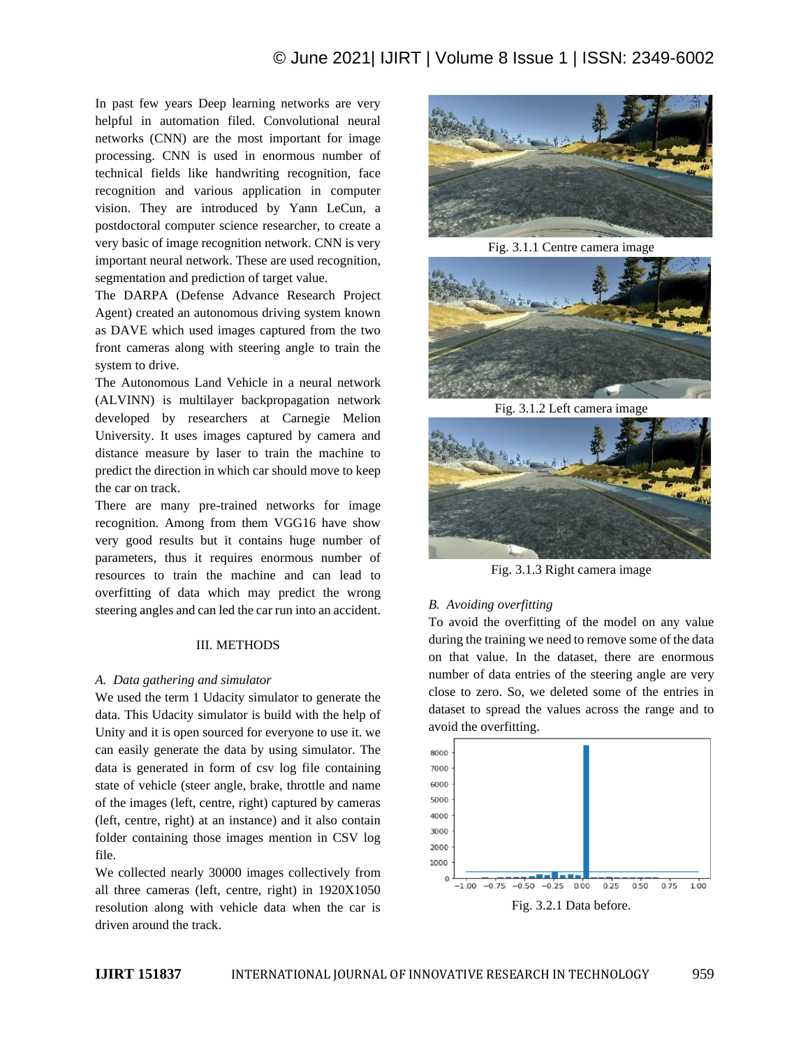In past few years Deep learning networks are very helpful in automation filed. Convolutional neural networks (CNN) are the most important for image processing. CNN is used in enormous number of technical fields like handwriting recognition, face recognition and various application in computer vision. They are introduced by Yann LeCun, a postdoctoral computer science researcher, to create a very basic of image recognition network. CNN is very important neural network. These are used recognition, segmentation and prediction of target value.

The DARPA (Defense Advance Research Project Agent) created an autonomous driving system known as DAVE which used images captured from the two front cameras along with steering angle to train the system to drive.

The Autonomous Land Vehicle in a neural network (ALVINN) is multilayer backpropagation network developed by researchers at Carnegie Melion University. It uses images captured by camera and distance measure by laser to train the machine to predict the direction in which car should move to keep the car on track.

There are many pre-trained networks for image recognition. Among from them VGG16 have show very good results but it contains huge number of parameters, thus it requires enormous number of resources to train the machine and can lead to overfitting of data which may predict the wrong steering angles and can led the car run into an accident.

# III. METHODS

# *A. Data gathering and simulator*

We used the term 1 Udacity simulator to generate the data. This Udacity simulator is build with the help of Unity and it is open sourced for everyone to use it. we can easily generate the data by using simulator. The data is generated in form of csv log file containing state of vehicle (steer angle, brake, throttle and name of the images (left, centre, right) captured by cameras (left, centre, right) at an instance) and it also contain folder containing those images mention in CSV log file.

We collected nearly 30000 images collectively from all three cameras (left, centre, right) in 1920X1050 resolution along with vehicle data when the car is driven around the track.



Fig. 3.1.1 Centre camera image



Fig. 3.1.2 Left camera image



Fig. 3.1.3 Right camera image

# *B. Avoiding overfitting*

To avoid the overfitting of the model on any value during the training we need to remove some of the data on that value. In the dataset, there are enormous number of data entries of the steering angle are very close to zero. So, we deleted some of the entries in dataset to spread the values across the range and to avoid the overfitting.

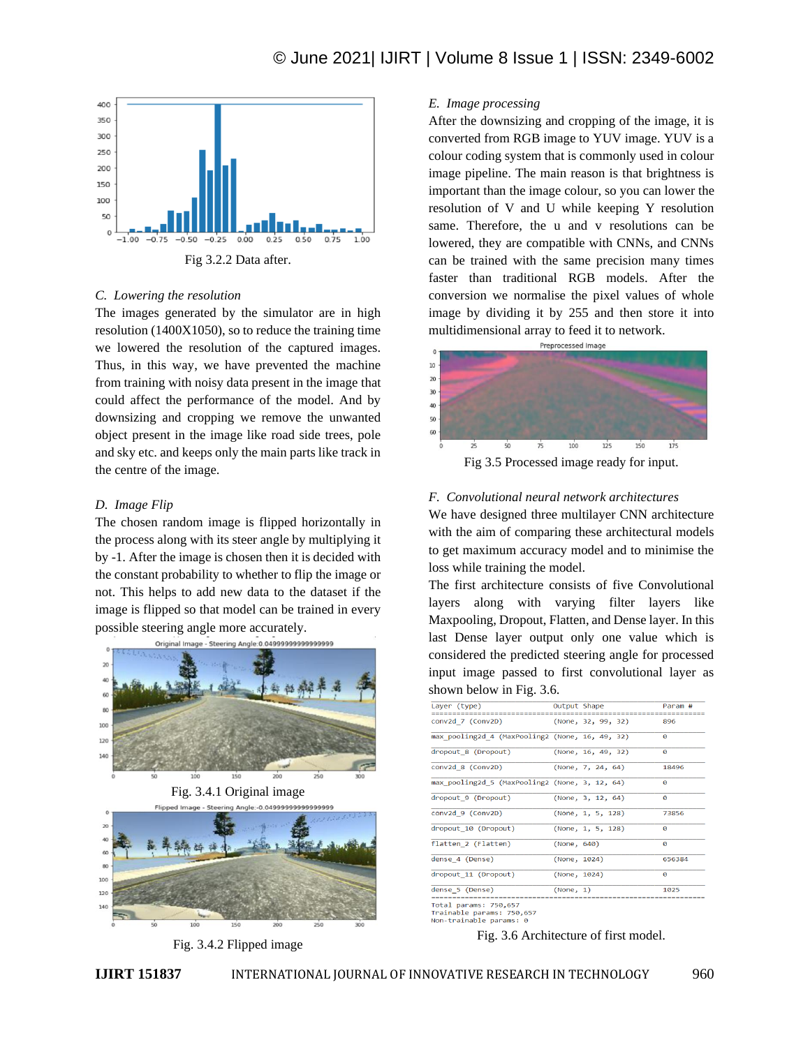

# *C. Lowering the resolution*

The images generated by the simulator are in high resolution (1400X1050), so to reduce the training time we lowered the resolution of the captured images. Thus, in this way, we have prevented the machine from training with noisy data present in the image that could affect the performance of the model. And by downsizing and cropping we remove the unwanted object present in the image like road side trees, pole and sky etc. and keeps only the main parts like track in the centre of the image.

#### *D. Image Flip*

The chosen random image is flipped horizontally in the process along with its steer angle by multiplying it by -1. After the image is chosen then it is decided with the constant probability to whether to flip the image or not. This helps to add new data to the dataset if the image is flipped so that model can be trained in every possible steering angle more accurately.



Fig. 3.4.1 Original image



Fig. 3.4.2 Flipped image

# *E. Image processing*

After the downsizing and cropping of the image, it is converted from RGB image to YUV image. YUV is a colour coding system that is commonly used in colour image pipeline. The main reason is that brightness is important than the image colour, so you can lower the resolution of V and U while keeping Y resolution same. Therefore, the u and v resolutions can be lowered, they are compatible with CNNs, and CNNs can be trained with the same precision many times faster than traditional RGB models. After the conversion we normalise the pixel values of whole image by dividing it by 255 and then store it into multidimensional array to feed it to network.



#### *F. Convolutional neural network architectures*

We have designed three multilayer CNN architecture with the aim of comparing these architectural models to get maximum accuracy model and to minimise the loss while training the model.

The first architecture consists of five Convolutional layers along with varying filter layers like Maxpooling, Dropout, Flatten, and Dense layer. In this last Dense layer output only one value which is considered the predicted steering angle for processed input image passed to first convolutional layer as shown below in Fig. 3.6.

| Layer (type)                                    | Output Shape       | Param #               |
|-------------------------------------------------|--------------------|-----------------------|
| conv2d 7 (Conv2D)                               | (None, 32, 99, 32) | 896                   |
| max pooling2d 4 (MaxPooling2 (None, 16, 49, 32) |                    | ø                     |
| dropout 8 (Dropout)                             | (None, 16, 49, 32) | ø                     |
| conv2d 8 (Conv2D)                               | (None, 7, 24, 64)  | 18496                 |
| max pooling2d 5 (MaxPooling2 (None, 3, 12, 64)  |                    | ø                     |
| dropout 9 (Dropout)                             | (None, 3, 12, 64)  | ø                     |
| conv2d 9 (Conv2D)                               | (None, 1, 5, 128)  | 73856                 |
| dropout 10 (Dropout)                            | (None, 1, 5, 128)  | $\boldsymbol{\alpha}$ |
| flatten 2 (Flatten)                             | (None, 640)        | ø                     |
| dense 4 (Dense)                                 | (None, 1024)       | 656384                |
| dropout 11 (Dropout)                            | (None, 1024)       | ø                     |
| dense 5 (Dense)                                 | (None, 1)          | 1025                  |

Non-trainable params: 0

Fig. 3.6 Architecture of first model.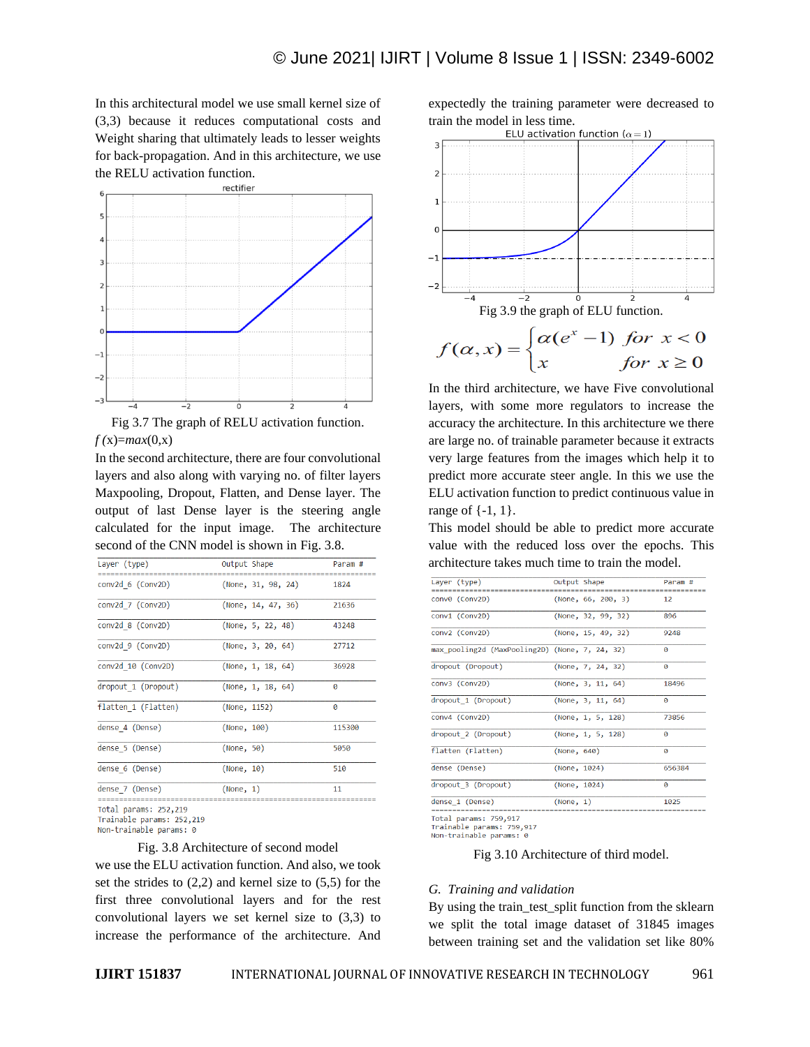In this architectural model we use small kernel size of (3,3) because it reduces computational costs and Weight sharing that ultimately leads to lesser weights for back-propagation. And in this architecture, we use the RELU activation function.



Fig 3.7 The graph of RELU activation function. *f (*x)=*max*(0,x)

In the second architecture, there are four convolutional layers and also along with varying no. of filter layers Maxpooling, Dropout, Flatten, and Dense layer. The output of last Dense layer is the steering angle calculated for the input image. The architecture second of the CNN model is shown in Fig. 3.8.

| Layer (type)          | Output Shape          | Param #                    |
|-----------------------|-----------------------|----------------------------|
| conv2d 6 (Conv2D)     | (None, 31, 98, 24)    | 1824                       |
| conv2d 7 (Conv2D)     | (None, $14, 47, 36$ ) | 21636                      |
| conv2d 8 (Conv2D)     | (None, 5, 22, 48)     | 43248                      |
| conv2d 9 (Conv2D)     | (None, 3, 20, 64)     | 27712                      |
| conv2d 10 (Conv2D)    | (None, $1, 18, 64$ )  | 36928                      |
| dropout 1 (Dropout)   | (None, $1, 18, 64$ )  | Ø                          |
| flatten 1 (Flatten)   | (None, 1152)          | $\boldsymbol{\varnothing}$ |
| dense 4 (Dense)       | (None, 100)           | 115300                     |
| dense 5 (Dense)       | (None, 50)            | 5050                       |
| dense 6 (Dense)       | (None, 10)            | 510                        |
| dense 7 (Dense)       | (None, 1)             | 11                         |
| Tatal nonome: 353.340 |                       |                            |

Trainable params: 252,219

Non-trainable params: 0

#### Fig. 3.8 Architecture of second model

we use the ELU activation function. And also, we took set the strides to  $(2,2)$  and kernel size to  $(5,5)$  for the first three convolutional layers and for the rest convolutional layers we set kernel size to (3,3) to increase the performance of the architecture. And

expectedly the training parameter were decreased to train the model in less time.<br>ELU activation function  $(\alpha = 1)$ 



In the third architecture, we have Five convolutional layers, with some more regulators to increase the accuracy the architecture. In this architecture we there are large no. of trainable parameter because it extracts very large features from the images which help it to predict more accurate steer angle. In this we use the ELU activation function to predict continuous value in range of {-1, 1}.

This model should be able to predict more accurate value with the reduced loss over the epochs. This architecture takes much time to train the model.

| Layer (type)                                   | Output Shape |                       | Param #               |
|------------------------------------------------|--------------|-----------------------|-----------------------|
|                                                |              |                       |                       |
| conv0 (Conv2D)                                 |              | (None, $66, 200, 3$ ) | $12 \overline{ }$     |
| conv1 (Conv2D)                                 |              | (None, 32, 99, 32)    | 896                   |
|                                                |              |                       |                       |
| conv2 (Conv2D)                                 |              | (None, 15, 49, 32)    | 9248                  |
| max pooling2d (MaxPooling2D) (None, 7, 24, 32) |              |                       | ø                     |
| dropout (Dropout)                              |              | (None, 7, 24, 32)     | 0                     |
| conv3 (Conv2D)                                 |              | (None, 3, 11, 64)     | 18496                 |
| dropout 1 (Dropout)                            |              | (None, 3, 11, 64)     | Ø                     |
| conv4 (Conv2D)                                 |              | (None, 1, 5, 128)     | 73856                 |
| dropout 2 (Dropout)                            |              | (None, 1, 5, 128)     | Ø                     |
| flatten (Flatten)                              | (None, 640)  |                       | g                     |
| dense (Dense)                                  | (None, 1024) |                       | 656384                |
| dropout 3 (Dropout)                            | (None, 1024) |                       | $\boldsymbol{\alpha}$ |
| dense 1 (Dense)                                | (None, 1)    |                       | 1025                  |
|                                                |              |                       |                       |
| Total params: 759,917                          |              |                       |                       |

Trainable params: 759,917 Non-trainable params:

Fig 3.10 Architecture of third model.

#### *G. Training and validation*

By using the train test split function from the sklearn we split the total image dataset of 31845 images between training set and the validation set like 80%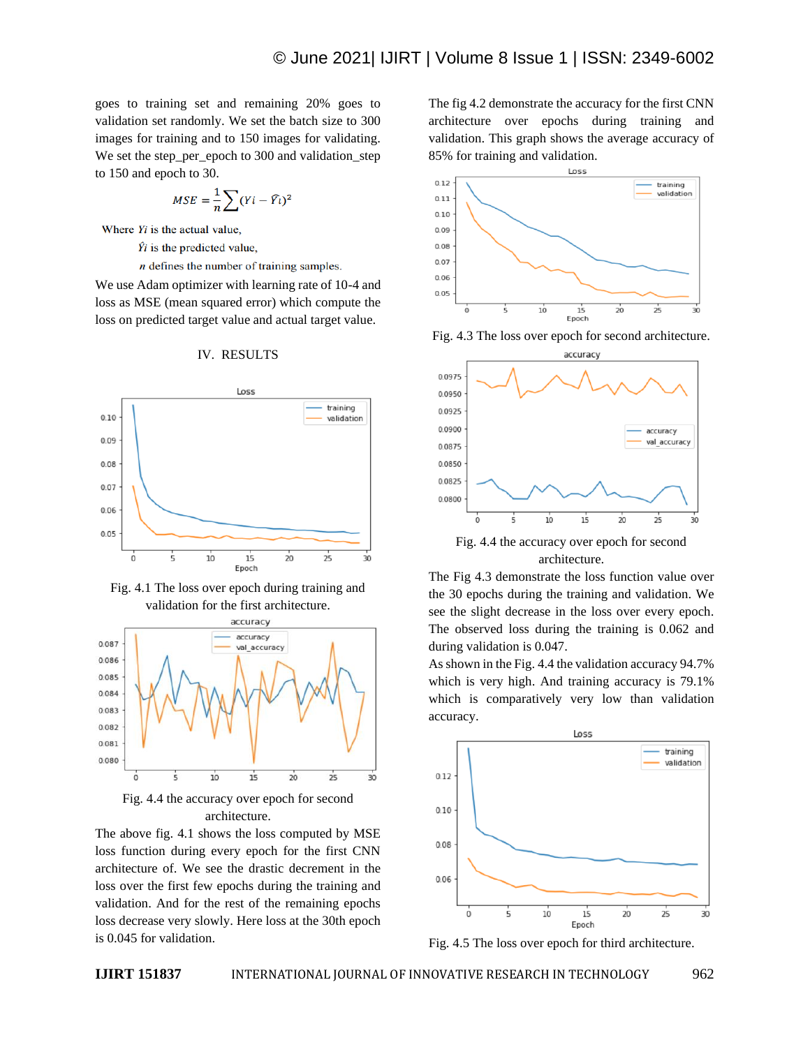goes to training set and remaining 20% goes to validation set randomly. We set the batch size to 300 images for training and to 150 images for validating. We set the step\_per\_epoch to 300 and validation\_step to 150 and epoch to 30.

$$
MSE = \frac{1}{n} \sum (Yi - \widehat{Y}_l)^2
$$

Where  $Y_i$  is the actual value,

 $\hat{Y}$ *i* is the predicted value,

 $n$  defines the number of training samples.

We use Adam optimizer with learning rate of 10-4 and loss as MSE (mean squared error) which compute the loss on predicted target value and actual target value.





Fig. 4.1 The loss over epoch during training and validation for the first architecture.



Fig. 4.4 the accuracy over epoch for second architecture.

The above fig. 4.1 shows the loss computed by MSE loss function during every epoch for the first CNN architecture of. We see the drastic decrement in the loss over the first few epochs during the training and validation. And for the rest of the remaining epochs loss decrease very slowly. Here loss at the 30th epoch is 0.045 for validation.

The fig 4.2 demonstrate the accuracy for the first CNN architecture over epochs during training and validation. This graph shows the average accuracy of 85% for training and validation.







Fig. 4.4 the accuracy over epoch for second architecture.

The Fig 4.3 demonstrate the loss function value over the 30 epochs during the training and validation. We see the slight decrease in the loss over every epoch. The observed loss during the training is 0.062 and during validation is 0.047.

As shown in the Fig. 4.4 the validation accuracy 94.7% which is very high. And training accuracy is 79.1% which is comparatively very low than validation accuracy.



Fig. 4.5 The loss over epoch for third architecture.